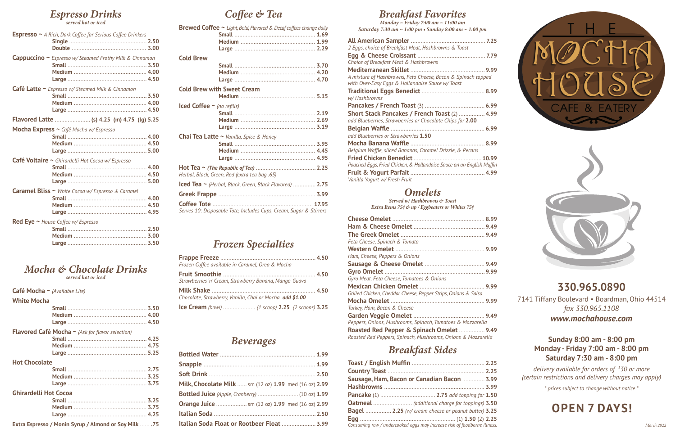## **330.965.0890**

7141 Tiffany Boulevard • Boardman, Ohio 44514 *fax 330.965.1108*

*www.mochahouse.com*

**Sunday 8:00 am - 8:00 pm Monday - Friday 7:00 am - 8:00 pm Saturday 7:30 am - 8:00 pm**

*delivery available for orders of \$ 30 or more (certain restrictions and delivery charges may apply)*

*\* prices subject to change without notice \**

# **OPEN 7 DAYS!**

*March 2022*

# *Coffee & Tea*

| <b>Brewed Coffee ~</b> Light, Bold, Flavored & Decaf coffees change daily |                                                                         |  |
|---------------------------------------------------------------------------|-------------------------------------------------------------------------|--|
|                                                                           |                                                                         |  |
|                                                                           |                                                                         |  |
|                                                                           |                                                                         |  |
| <b>Cold Brew</b>                                                          |                                                                         |  |
|                                                                           |                                                                         |  |
|                                                                           |                                                                         |  |
|                                                                           |                                                                         |  |
|                                                                           | <b>Cold Brew with Sweet Cream</b>                                       |  |
|                                                                           |                                                                         |  |
| Iced Coffee $\sim$ (no refills)                                           |                                                                         |  |
|                                                                           |                                                                         |  |
|                                                                           |                                                                         |  |
|                                                                           |                                                                         |  |
|                                                                           | Chai Tea Latte ~ Vanilla, Spice & Honey                                 |  |
|                                                                           |                                                                         |  |
|                                                                           |                                                                         |  |
|                                                                           |                                                                         |  |
|                                                                           | Herbal, Black, Green, Red (extra tea bag .65)                           |  |
|                                                                           | $\textsf{lced}$ Tea $\sim$ (Herbal, Black, Green, Black Flavored)  2.75 |  |
|                                                                           |                                                                         |  |
|                                                                           |                                                                         |  |
|                                                                           | Serves 10: Disposable Tote, Includes Cups, Cream, Sugar & Stirrers      |  |

## *Frozen Specialties*

| Frozen Coffee available in Caramel, Oreo & Mocha         |  |
|----------------------------------------------------------|--|
| Strawberries 'n' Cream, Strawberry Banana, Mango-Guava   |  |
| Chocolate, Strawberry, Vanilla, Chai or Mocha add \$1.00 |  |
|                                                          |  |

### *Beverages*

| Milk, Chocolate Milk  sm (12 oz) 1.99 med (16 oz) 2.99       |  |
|--------------------------------------------------------------|--|
|                                                              |  |
| <b>Orange Juice </b> sm (12 oz) <b>1.99</b> med (16 oz) 2.99 |  |
|                                                              |  |
| Italian Soda Float or Rootbeer Float  3.99                   |  |

# *Espresso Drinks*

*served hot or iced*

| Espresso ~ A Rich, Dark Coffee for Serious Coffee Drinkers |  |
|------------------------------------------------------------|--|
|                                                            |  |
|                                                            |  |
| Cappuccino ~ Espresso w/ Steamed Frothy Milk & Cinnamon    |  |
|                                                            |  |
|                                                            |  |
|                                                            |  |
| <b>Café Latte ~</b> Espresso w/ Steamed Milk & Cinnamon    |  |
|                                                            |  |
|                                                            |  |
|                                                            |  |
| Flavored Latte  (s) 4.25 (m) 4.75 (lg) 5.25                |  |
| Mocha Express ~ Café Mocha w/ Espresso                     |  |
|                                                            |  |
|                                                            |  |
|                                                            |  |
|                                                            |  |
|                                                            |  |
| Café Voltaire ~ Ghirardelli Hot Cocoa w/ Espresso          |  |
|                                                            |  |
|                                                            |  |
| Caramel Bliss ~ White Cocoa w/ Espresso & Caramel          |  |
|                                                            |  |
|                                                            |  |
|                                                            |  |
| <b>Red Eye ~</b> House Coffee $w$ / Espresso               |  |
|                                                            |  |
|                                                            |  |

### *Mocha & Chocolate Drinks served hot or iced*

**Cafe Mocha ~** *(Available Lite)*

#### **White Mocha**

|                              | <b>Flavored Café Mocha</b> $\sim$ (Ask for flavor selection)                                                |  |
|------------------------------|-------------------------------------------------------------------------------------------------------------|--|
|                              |                                                                                                             |  |
|                              |                                                                                                             |  |
|                              |                                                                                                             |  |
| <b>Hot Chocolate</b>         |                                                                                                             |  |
|                              |                                                                                                             |  |
|                              |                                                                                                             |  |
|                              |                                                                                                             |  |
| <b>Ghirardelli Hot Cocoa</b> |                                                                                                             |  |
|                              |                                                                                                             |  |
|                              |                                                                                                             |  |
|                              |                                                                                                             |  |
|                              | $\mathbf{r}$ , and $\mathbf{r}$ , and $\mathbf{r}$ , and $\mathbf{r}$ , and $\mathbf{r}$ , and $\mathbf{r}$ |  |

**Extra Espresso / Monin Syrup / Almond or Soy Milk** ...... **.75**

### *Breakfast Favorites*

*Monday ~ Friday 7:00 am ~ 11:00 am Saturday 7:30 am ~ 1:00 pm • Sunday 8:00 am ~ 1:00 pm*

| 2 Eggs, choice of Breakfast Meat, Hashbrowns & Toast                                                            |  |
|-----------------------------------------------------------------------------------------------------------------|--|
|                                                                                                                 |  |
| Choice of Breakfast Meat & Hashbrowns                                                                           |  |
|                                                                                                                 |  |
| A mixture of Hashbrowns, Feta Cheese, Bacon & Spinach topped<br>with Over-Easy Eggs & Hollandaise Sauce w/Toast |  |
|                                                                                                                 |  |
| w/ Hashbrowns                                                                                                   |  |
|                                                                                                                 |  |
| Short Stack Pancakes / French Toast (2)  4.99                                                                   |  |
| add Blueberries, Strawberries or Chocolate Chips for 2.00                                                       |  |
|                                                                                                                 |  |
| add Blueberries or Strawberries 1.50                                                                            |  |
|                                                                                                                 |  |
| Belgium Waffle, sliced Bananas, Caramel Drizzle, & Pecans                                                       |  |
|                                                                                                                 |  |
| Poached Eggs, Fried Chicken, & Hollandaise Sauce on an English Muffin                                           |  |
|                                                                                                                 |  |
| Vanilla Yogurt w/ Fresh Fruit                                                                                   |  |

# *Omelets*

*Served w/ Hashbrowns & Toast Extra Items 75c & up / Eggbeaters or Whites 75c*

| Feta Cheese, Spinach & Tomato                                                                             |
|-----------------------------------------------------------------------------------------------------------|
|                                                                                                           |
| Ham, Cheese, Peppers & Onions                                                                             |
|                                                                                                           |
|                                                                                                           |
| Gyro Meat, Feta Cheese, Tomatoes & Onions                                                                 |
|                                                                                                           |
| Grilled Chicken, Cheddar Cheese, Pepper Strips, Onions & Salsa                                            |
|                                                                                                           |
| Turkey, Ham, Bacon & Cheese                                                                               |
|                                                                                                           |
| Peppers, Onions, Mushrooms, Spinach, Tomatoes & Mozzarella                                                |
| Roasted Red Pepper & Spinach Omelet  9.49<br>Roasted Red Peppers, Spinach, Mushrooms, Onions & Mozzarella |

# *Breakfast Sides*

| Sausage, Ham, Bacon or Canadian Bacon  3.99                              |  |
|--------------------------------------------------------------------------|--|
|                                                                          |  |
|                                                                          |  |
|                                                                          |  |
| <b>Bagel</b> 2.25 (w/ cream cheese or peanut butter) 3.25                |  |
|                                                                          |  |
| Consuming raw / undercooked eggs may increase risk of foodborne illness. |  |